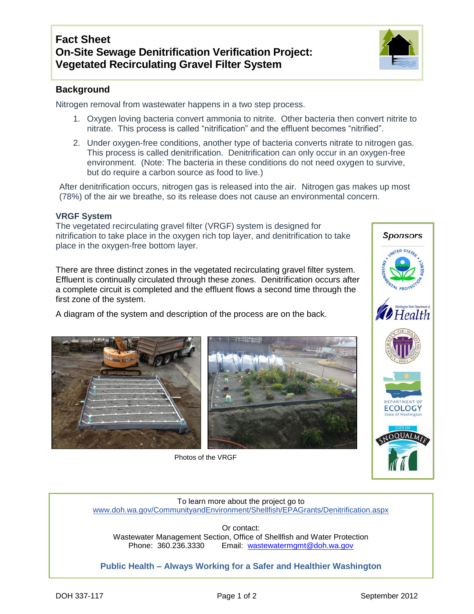## **Background**

Nitrogen removal from wastewater happens in a two step process.

- 1. Oxygen loving bacteria convert ammonia to nitrite. Other bacteria then convert nitrite to nitrate. This process is called "nitrification" and the effluent becomes "nitrified".
- 2. Under oxygen-free conditions, another type of bacteria converts nitrate to nitrogen gas. This process is called denitrification. Denitrification can only occur in an oxygen-free environment. (Note: The bacteria in these conditions do not need oxygen to survive, but do require a carbon source as food to live.)

After denitrification occurs, nitrogen gas is released into the air. Nitrogen gas makes up most (78%) of the air we breathe, so its release does not cause an environmental concern.

## **VRGF System**

The vegetated recirculating gravel filter (VRGF) system is designed for nitrification to take place in the oxygen rich top layer, and denitrification to take place in the oxygen-free bottom layer.

There are three distinct zones in the vegetated recirculating gravel filter system. Effluent is continually circulated through these zones. Denitrification occurs after a complete circuit is completed and the effluent flows a second time through the first zone of the system.

A diagram of the system and description of the process are on the back.





Photos of the VRGF



To learn more about the project go to [www.doh.wa.gov/CommunityandEnvironment/Shellfish/EPAGrants/Denitrification.aspx](http://www.doh.wa.gov/CommunityandEnvironment/Shellfish/EPAGrants/Denitrification.aspx)

Or contact: Wastewater Management Section, Office of Shellfish and Water Protection<br>Phone: 360.236.3330 Email: wastewatermgmt@doh.wa.gov Email: [wastewatermgmt@doh.wa.gov](mailto:wastewatermgmt@doh.wa.gov)

**Public Health – Always Working for a Safer and Healthier Washington**